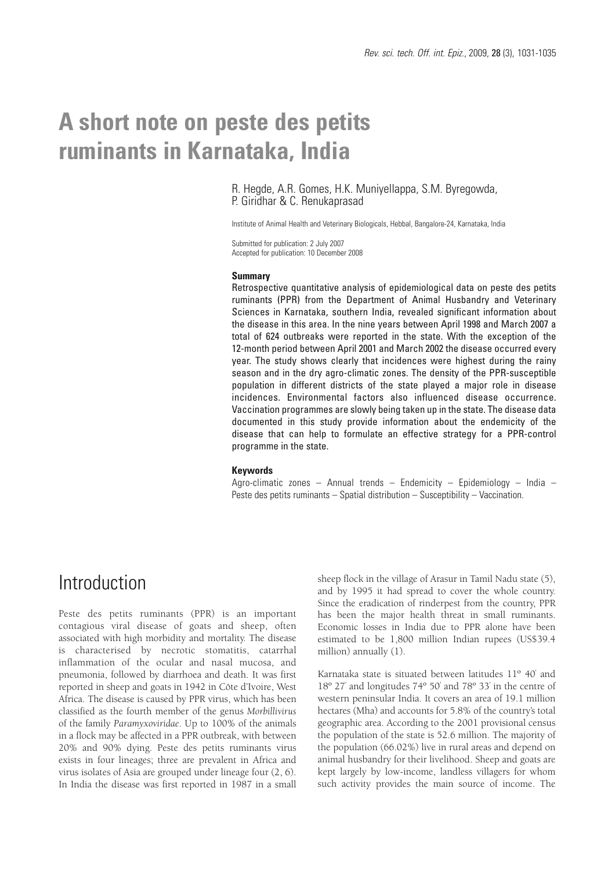# **A short note on peste des petits ruminants in Karnataka, India**

R. Hegde, A.R. Gomes, H.K. Muniyellappa, S.M. Byregowda, P. Giridhar & C. Renukaprasad

Institute of Animal Health and Veterinary Biologicals, Hebbal, Bangalore-24, Karnataka, India

Submitted for publication: 2 July 2007 Accepted for publication: 10 December 2008

### **Summary**

Retrospective quantitative analysis of epidemiological data on peste des petits ruminants (PPR) from the Department of Animal Husbandry and Veterinary Sciences in Karnataka, southern India, revealed significant information about the disease in this area. In the nine years between April 1998 and March 2007 a total of 624 outbreaks were reported in the state. With the exception of the 12-month period between April 2001 and March 2002 the disease occurred every year. The study shows clearly that incidences were highest during the rainy season and in the dry agro-climatic zones. The density of the PPR-susceptible population in different districts of the state played a major role in disease incidences. Environmental factors also influenced disease occurrence. Vaccination programmes are slowly being taken up in the state. The disease data documented in this study provide information about the endemicity of the disease that can help to formulate an effective strategy for a PPR-control programme in the state.

### **Keywords**

Agro-climatic zones – Annual trends – Endemicity – Epidemiology – India – Peste des petits ruminants – Spatial distribution – Susceptibility – Vaccination.

## **Introduction**

Peste des petits ruminants (PPR) is an important contagious viral disease of goats and sheep, often associated with high morbidity and mortality. The disease is characterised by necrotic stomatitis, catarrhal inflammation of the ocular and nasal mucosa, and pneumonia, followed by diarrhoea and death. It was first reported in sheep and goats in 1942 in Côte d'Ivoire, West Africa. The disease is caused by PPR virus, which has been classified as the fourth member of the genus *Morbillivirus* of the family *Paramyxoviridae*. Up to 100% of the animals in a flock may be affected in a PPR outbreak, with between 20% and 90% dying. Peste des petits ruminants virus exists in four lineages; three are prevalent in Africa and virus isolates of Asia are grouped under lineage four (2, 6). In India the disease was first reported in 1987 in a small

sheep flock in the village of Arasur in Tamil Nadu state (5), and by 1995 it had spread to cover the whole country. Since the eradication of rinderpest from the country, PPR has been the major health threat in small ruminants. Economic losses in India due to PPR alone have been estimated to be 1,800 million Indian rupees (US\$39.4 million) annually (1).

Karnataka state is situated between latitudes 11º 40' and 18º 27' and longitudes 74º 50' and 78º 33' in the centre of western peninsular India. It covers an area of 19.1 million hectares (Mha) and accounts for 5.8% of the country's total geographic area. According to the 2001 provisional census the population of the state is 52.6 million. The majority of the population (66.02%) live in rural areas and depend on animal husbandry for their livelihood. Sheep and goats are kept largely by low-income, landless villagers for whom such activity provides the main source of income. The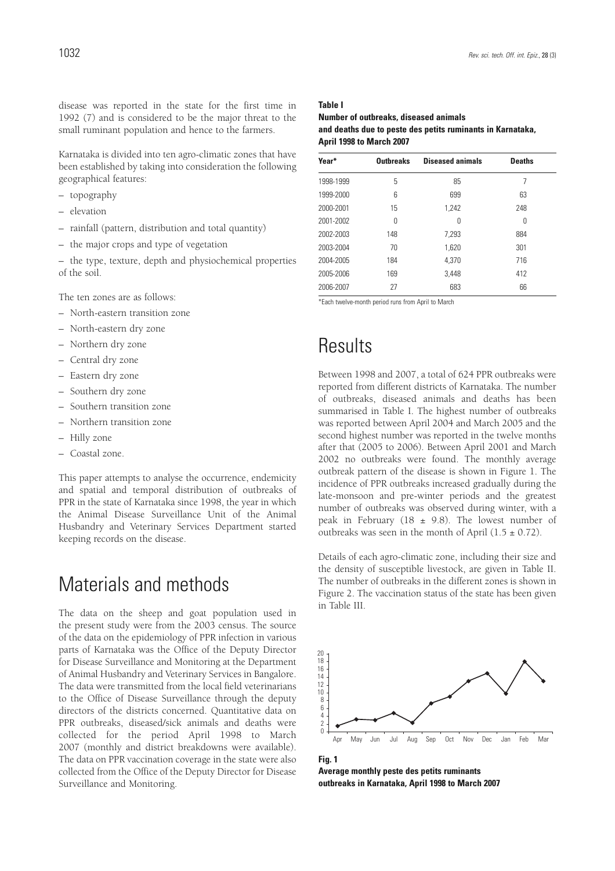disease was reported in the state for the first time in 1992 (7) and is considered to be the major threat to the small ruminant population and hence to the farmers.

Karnataka is divided into ten agro-climatic zones that have been established by taking into consideration the following geographical features:

- topography
- elevation
- rainfall (pattern, distribution and total quantity)
- the major crops and type of vegetation

– the type, texture, depth and physiochemical properties of the soil.

The ten zones are as follows:

- North-eastern transition zone
- North-eastern dry zone
- Northern dry zone
- Central dry zone
- Eastern dry zone
- Southern dry zone
- Southern transition zone
- Northern transition zone
- Hilly zone
- Coastal zone.

This paper attempts to analyse the occurrence, endemicity and spatial and temporal distribution of outbreaks of PPR in the state of Karnataka since 1998, the year in which the Animal Disease Surveillance Unit of the Animal Husbandry and Veterinary Services Department started keeping records on the disease.

# Materials and methods

The data on the sheep and goat population used in the present study were from the 2003 census. The source of the data on the epidemiology of PPR infection in various parts of Karnataka was the Office of the Deputy Director for Disease Surveillance and Monitoring at the Department of Animal Husbandry and Veterinary Services in Bangalore. The data were transmitted from the local field veterinarians to the Office of Disease Surveillance through the deputy directors of the districts concerned. Quantitative data on PPR outbreaks, diseased/sick animals and deaths were collected for the period April 1998 to March 2007 (monthly and district breakdowns were available). The data on PPR vaccination coverage in the state were also collected from the Office of the Deputy Director for Disease Surveillance and Monitoring.

#### **Table I**

**Number of outbreaks, diseased animals and deaths due to peste des petits ruminants in Karnataka, April 1998 to March 2007**

| Year*     | <b>Outbreaks</b> | <b>Diseased animals</b> | <b>Deaths</b> |
|-----------|------------------|-------------------------|---------------|
| 1998-1999 | 5                | 85                      | 7             |
| 1999-2000 | 6                | 699                     | 63            |
| 2000-2001 | 15               | 1,242                   | 248           |
| 2001-2002 | 0                | 0                       | 0             |
| 2002-2003 | 148              | 7.293                   | 884           |
| 2003-2004 | 70               | 1,620                   | 301           |
| 2004-2005 | 184              | 4.370                   | 716           |
| 2005-2006 | 169              | 3.448                   | 412           |
| 2006-2007 | 27               | 683                     | 66            |

\*Each twelve-month period runs from April to March

# Results

Between 1998 and 2007, a total of 624 PPR outbreaks were reported from different districts of Karnataka. The number of outbreaks, diseased animals and deaths has been summarised in Table I. The highest number of outbreaks was reported between April 2004 and March 2005 and the second highest number was reported in the twelve months after that (2005 to 2006). Between April 2001 and March 2002 no outbreaks were found. The monthly average outbreak pattern of the disease is shown in Figure 1. The incidence of PPR outbreaks increased gradually during the late-monsoon and pre-winter periods and the greatest number of outbreaks was observed during winter, with a peak in February (18  $\pm$  9.8). The lowest number of outbreaks was seen in the month of April  $(1.5 \pm 0.72)$ .

Details of each agro-climatic zone, including their size and the density of susceptible livestock, are given in Table II. The number of outbreaks in the different zones is shown in Figure 2. The vaccination status of the state has been given in Table III.



**Fig. 1 Average monthly peste des petits ruminants outbreaks in Karnataka, April 1998 to March 2007**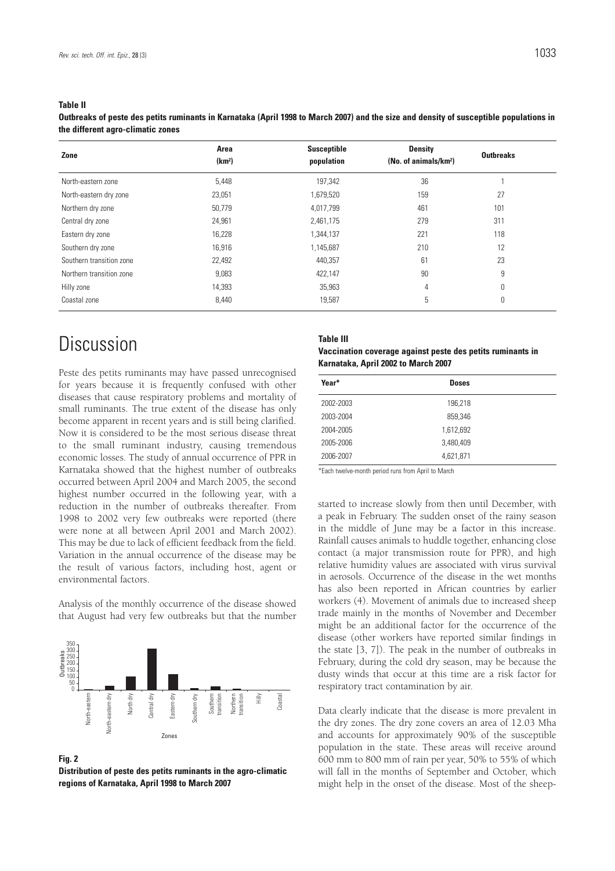#### **Table II**

**Outbreaks of peste des petits ruminants in Karnataka (April 1998 to March 2007) and the size and density of susceptible populations in the different agro-climatic zones**

| Zone                     | Area<br>(km <sup>2</sup> ) | <b>Susceptible</b><br>population | <b>Density</b><br>(No. of animals/km <sup>2</sup> ) | <b>Outbreaks</b> |  |
|--------------------------|----------------------------|----------------------------------|-----------------------------------------------------|------------------|--|
| North-eastern zone       | 5,448                      | 197,342                          | 36                                                  |                  |  |
| North-eastern dry zone   | 23,051                     | 1,679,520                        | 159                                                 | 27               |  |
| Northern dry zone        | 50.779                     | 4,017,799                        | 461                                                 | 101              |  |
| Central dry zone         | 24,961                     | 2,461,175                        | 279                                                 | 311              |  |
| Eastern dry zone         | 16,228                     | 1,344,137                        | 221                                                 | 118              |  |
| Southern dry zone        | 16,916                     | 1,145,687                        | 210                                                 | 12               |  |
| Southern transition zone | 22,492                     | 440,357                          | 61                                                  | 23               |  |
| Northern transition zone | 9,083                      | 422,147                          | 90                                                  | 9                |  |
| Hilly zone               | 14,393                     | 35,963                           | 4                                                   | 0                |  |
| Coastal zone             | 8,440                      | 19,587                           | 5                                                   | 0                |  |

# Discussion

Peste des petits ruminants may have passed unrecognised for years because it is frequently confused with other diseases that cause respiratory problems and mortality of small ruminants. The true extent of the disease has only become apparent in recent years and is still being clarified. Now it is considered to be the most serious disease threat to the small ruminant industry, causing tremendous economic losses. The study of annual occurrence of PPR in Karnataka showed that the highest number of outbreaks occurred between April 2004 and March 2005, the second highest number occurred in the following year, with a reduction in the number of outbreaks thereafter. From 1998 to 2002 very few outbreaks were reported (there were none at all between April 2001 and March 2002). This may be due to lack of efficient feedback from the field. Variation in the annual occurrence of the disease may be the result of various factors, including host, agent or environmental factors.

Analysis of the monthly occurrence of the disease showed that August had very few outbreaks but that the number



#### **Fig. 2**

**Distribution of peste des petits ruminants in the agro-climatic regions of Karnataka, April 1998 to March 2007**

#### **Table III**

| Vaccination coverage against peste des petits ruminants in |  |
|------------------------------------------------------------|--|
| Karnataka, April 2002 to March 2007                        |  |

| Year*     | <b>Doses</b> |  |
|-----------|--------------|--|
| 2002-2003 | 196,218      |  |
| 2003-2004 | 859,346      |  |
| 2004-2005 | 1,612,692    |  |
| 2005-2006 | 3,480,409    |  |
| 2006-2007 | 4,621,871    |  |

\*Each twelve-month period runs from April to March

started to increase slowly from then until December, with a peak in February. The sudden onset of the rainy season in the middle of June may be a factor in this increase. Rainfall causes animals to huddle together, enhancing close contact (a major transmission route for PPR), and high relative humidity values are associated with virus survival in aerosols. Occurrence of the disease in the wet months has also been reported in African countries by earlier workers (4). Movement of animals due to increased sheep trade mainly in the months of November and December might be an additional factor for the occurrence of the disease (other workers have reported similar findings in the state [3, 7]). The peak in the number of outbreaks in February, during the cold dry season, may be because the dusty winds that occur at this time are a risk factor for respiratory tract contamination by air.

Data clearly indicate that the disease is more prevalent in the dry zones. The dry zone covers an area of 12.03 Mha and accounts for approximately 90% of the susceptible population in the state. These areas will receive around 600 mm to 800 mm of rain per year, 50% to 55% of which will fall in the months of September and October, which might help in the onset of the disease. Most of the sheep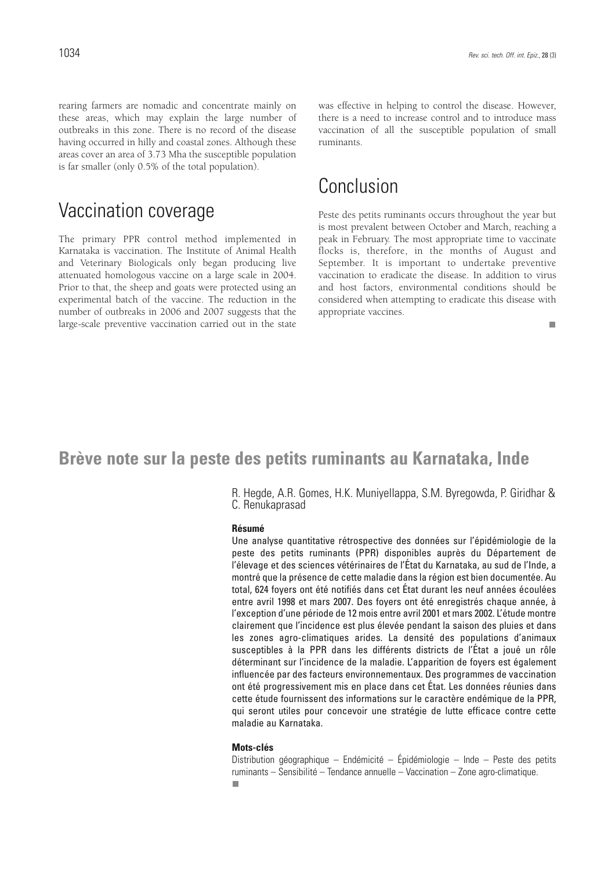rearing farmers are nomadic and concentrate mainly on these areas, which may explain the large number of outbreaks in this zone. There is no record of the disease having occurred in hilly and coastal zones. Although these areas cover an area of 3.73 Mha the susceptible population is far smaller (only 0.5% of the total population).

### Vaccination coverage

The primary PPR control method implemented in Karnataka is vaccination. The Institute of Animal Health and Veterinary Biologicals only began producing live attenuated homologous vaccine on a large scale in 2004. Prior to that, the sheep and goats were protected using an experimental batch of the vaccine. The reduction in the number of outbreaks in 2006 and 2007 suggests that the large-scale preventive vaccination carried out in the state was effective in helping to control the disease. However, there is a need to increase control and to introduce mass vaccination of all the susceptible population of small ruminants.

### Conclusion

Peste des petits ruminants occurs throughout the year but is most prevalent between October and March, reaching a peak in February. The most appropriate time to vaccinate flocks is, therefore, in the months of August and September. It is important to undertake preventive vaccination to eradicate the disease. In addition to virus and host factors, environmental conditions should be considered when attempting to eradicate this disease with appropriate vaccines.

 $\overline{\phantom{a}}$ 

### **Brève note sur la peste des petits ruminants au Karnataka, Inde**

R. Hegde, A.R. Gomes, H.K. Muniyellappa, S.M. Byregowda, P. Giridhar & C. Renukaprasad

### **Résumé**

Une analyse quantitative rétrospective des données sur l'épidémiologie de la peste des petits ruminants (PPR) disponibles auprès du Département de l'élevage et des sciences vétérinaires de l'État du Karnataka, au sud de l'Inde, a montré que la présence de cette maladie dans la région est bien documentée. Au total, 624 foyers ont été notifiés dans cet État durant les neuf années écoulées entre avril 1998 et mars 2007. Des foyers ont été enregistrés chaque année, à l'exception d'une période de 12 mois entre avril 2001 et mars 2002. L'étude montre clairement que l'incidence est plus élevée pendant la saison des pluies et dans les zones agro-climatiques arides. La densité des populations d'animaux susceptibles à la PPR dans les différents districts de l'État a joué un rôle déterminant sur l'incidence de la maladie. L'apparition de foyers est également influencée par des facteurs environnementaux. Des programmes de vaccination ont été progressivement mis en place dans cet État. Les données réunies dans cette étude fournissent des informations sur le caractère endémique de la PPR, qui seront utiles pour concevoir une stratégie de lutte efficace contre cette maladie au Karnataka.

### **Mots-clés**

Distribution géographique – Endémicité – Épidémiologie – Inde – Peste des petits ruminants – Sensibilité – Tendance annuelle – Vaccination – Zone agro-climatique.п